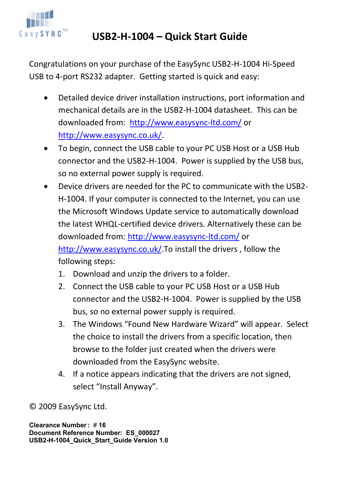

## **USB2-H-1004 – Quick Start Guide**

Congratulations on your purchase of the EasySync USB2-H-1004 Hi-Speed USB to 4-port RS232 adapter. Getting started is quick and easy:

- Detailed device driver installation instructions, port information and mechanical details are in the USB2-H-1004 datasheet. This can be downloaded from: http://www.easysync-ltd.com/ or http://www.easysync.co.uk/.
- To begin, connect the USB cable to your PC USB Host or a USB Hub connector and the USB2-H-1004. Power is supplied by the USB bus, so no external power supply is required.
- Device drivers are needed for the PC to communicate with the USB2- H-1004. If your computer is connected to the Internet, you can use the Microsoft Windows Update service to automatically download the latest WHQL-certified device drivers. Alternatively these can be downloaded from: http://www.easysync-ltd.com/ or http://www.easysync.co.uk/.To install the drivers , follow the following steps:
	- 1. Download and unzip the drivers to a folder.
	- 2. Connect the USB cable to your PC USB Host or a USB Hub connector and the USB2-H-1004. Power is supplied by the USB bus, so no external power supply is required.
	- 3. The Windows "Found New Hardware Wizard" will appear. Select the choice to install the drivers from a specific location, then browse to the folder just created when the drivers were downloaded from the EasySync website.
	- 4. If a notice appears indicating that the drivers are not signed, select "Install Anyway".

© 2009 EasySync Ltd.

**Clearance Number :** # **16 Document Reference Number: ES\_000027 USB2-H-1004\_Quick\_Start\_Guide Version 1.0**